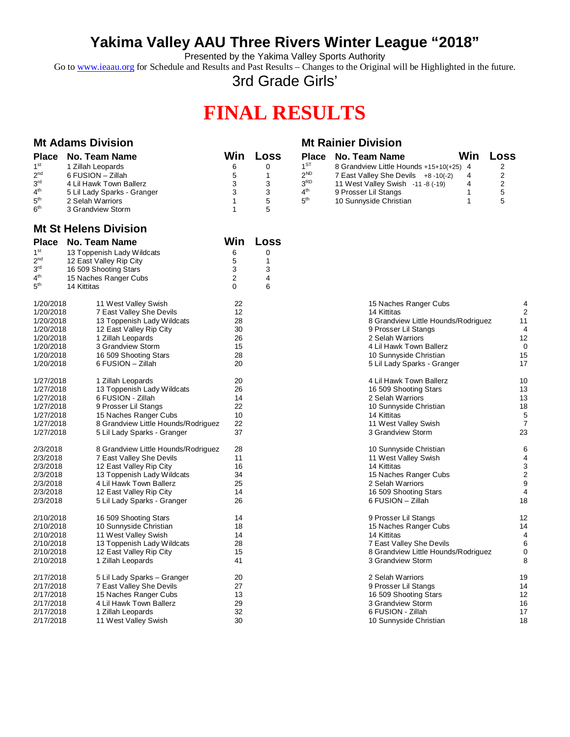## **Yakima Valley AAU Three Rivers Winter League "2018"**

Presented by the Yakima Valley Sports Authority

Go to [www.ieaau.org](http://www.ieaau.org) for Schedule and Results and Past Results – Changes to the Original will be Highlighted in the future.

3rd Grade Girls'

# **FINAL RESULTS**

| <b>Mt Adams Division</b>                                                                                       |                                                                                                                                                                                                               |                                                         |                                                                |                                                                                                             | <b>Mt Rainier Division</b>                                                                                                                                                                                                                    |                                                       |  |  |
|----------------------------------------------------------------------------------------------------------------|---------------------------------------------------------------------------------------------------------------------------------------------------------------------------------------------------------------|---------------------------------------------------------|----------------------------------------------------------------|-------------------------------------------------------------------------------------------------------------|-----------------------------------------------------------------------------------------------------------------------------------------------------------------------------------------------------------------------------------------------|-------------------------------------------------------|--|--|
| $1^\mathrm{st}$<br>2 <sup>nd</sup><br>3 <sup>rd</sup><br>$4^{\rm th}$<br>5 <sup>th</sup><br>6 <sup>th</sup>    | Place No. Team Name<br>1 Zillah Leopards<br>6 FUSION - Zillah<br>4 Lil Hawk Town Ballerz<br>5 Lil Lady Sparks - Granger<br>2 Selah Warriors<br>3 Grandview Storm                                              | Win<br>6<br>5<br>3<br>3<br>$\mathbf{1}$<br>$\mathbf{1}$ | <b>Loss</b><br>$\mathbf 0$<br>$\mathbf{1}$<br>3<br>3<br>5<br>5 | <b>Place</b><br>1 <sup>ST</sup><br>2 <sup>ND</sup><br>3 <sup>RD</sup><br>$4^{\text{th}}$<br>5 <sup>th</sup> | Win<br><b>No. Team Name</b><br>8 Grandview Little Hounds +15+10(+25) 4<br>7 East Valley She Devils +8-10(-2)<br>4<br>11 West Valley Swish -11 -8 (-19)<br>4<br>9 Prosser Lil Stangs<br>$\mathbf{1}$<br>$\mathbf{1}$<br>10 Sunnyside Christian | Loss<br>2<br>$\mathbf 2$<br>$\overline{2}$<br>5<br>5  |  |  |
|                                                                                                                | <b>Mt St Helens Division</b>                                                                                                                                                                                  |                                                         |                                                                |                                                                                                             |                                                                                                                                                                                                                                               |                                                       |  |  |
| <b>Place</b><br>1 <sup>st</sup><br>2 <sub>nd</sub><br>3 <sup>rd</sup><br>$4^{\text{th}}$<br>${\bf 5}^{\rm th}$ | No. Team Name<br>13 Toppenish Lady Wildcats<br>12 East Valley Rip City<br>16 509 Shooting Stars<br>15 Naches Ranger Cubs<br>14 Kittitas                                                                       | Win<br>6<br>5<br>3<br>$\overline{\mathbf{c}}$<br>0      | Loss<br>$\mathbf 0$<br>$\mathbf{1}$<br>3<br>4<br>6             |                                                                                                             |                                                                                                                                                                                                                                               |                                                       |  |  |
| 1/20/2018<br>1/20/2018<br>1/20/2018<br>1/20/2018<br>1/20/2018<br>1/20/2018<br>1/20/2018<br>1/20/2018           | 11 West Valley Swish<br>7 East Valley She Devils<br>13 Toppenish Lady Wildcats<br>12 East Valley Rip City<br>1 Zillah Leopards<br>3 Grandview Storm<br>16 509 Shooting Stars<br>6 FUSION - Zillah             | 22<br>12<br>28<br>30<br>26<br>15<br>28<br>20            |                                                                |                                                                                                             | 15 Naches Ranger Cubs<br>14 Kittitas<br>8 Grandview Little Hounds/Rodriguez<br>9 Prosser Lil Stangs<br>2 Selah Warriors<br>4 Lil Hawk Town Ballerz<br>10 Sunnyside Christian<br>5 Lil Lady Sparks - Granger                                   | 4<br>$\overline{2}$<br>11<br>4<br>12<br>0<br>15<br>17 |  |  |
| 1/27/2018<br>1/27/2018<br>1/27/2018<br>1/27/2018<br>1/27/2018<br>1/27/2018<br>1/27/2018                        | 1 Zillah Leopards<br>13 Toppenish Lady Wildcats<br>6 FUSION - Zillah<br>9 Prosser Lil Stangs<br>15 Naches Ranger Cubs<br>8 Grandview Little Hounds/Rodriguez<br>5 Lil Lady Sparks - Granger                   | 20<br>26<br>14<br>22<br>10<br>22<br>37                  |                                                                |                                                                                                             | 4 Lil Hawk Town Ballerz<br>16 509 Shooting Stars<br>2 Selah Warriors<br>10 Sunnyside Christian<br>14 Kittitas<br>11 West Valley Swish<br>3 Grandview Storm                                                                                    | 10<br>13<br>13<br>18<br>5<br>$\overline{7}$<br>23     |  |  |
| 2/3/2018<br>2/3/2018<br>2/3/2018<br>2/3/2018<br>2/3/2018<br>2/3/2018<br>2/3/2018                               | 8 Grandview Little Hounds/Rodriguez<br>7 East Valley She Devils<br>12 East Valley Rip City<br>13 Toppenish Lady Wildcats<br>4 Lil Hawk Town Ballerz<br>12 East Valley Rip City<br>5 Lil Lady Sparks - Granger | 28<br>11<br>16<br>34<br>25<br>14<br>26                  |                                                                |                                                                                                             | 10 Sunnyside Christian<br>11 West Valley Swish<br>14 Kittitas<br>15 Naches Ranger Cubs<br>2 Selah Warriors<br>16 509 Shooting Stars<br>6 FUSION - Zillah                                                                                      | 6<br>4<br>3<br>$\overline{a}$<br>9<br>4<br>18         |  |  |
| 2/10/2018<br>2/10/2018<br>2/10/2018<br>2/10/2018<br>2/10/2018<br>2/10/2018                                     | 16 509 Shooting Stars<br>10 Sunnyside Christian<br>11 West Valley Swish<br>13 Toppenish Lady Wildcats<br>12 East Valley Rip City<br>1 Zillah Leopards                                                         | 14<br>18<br>14<br>28<br>15<br>41                        |                                                                |                                                                                                             | 9 Prosser Lil Stangs<br>15 Naches Ranger Cubs<br>14 Kittitas<br>7 East Valley She Devils<br>8 Grandview Little Hounds/Rodriguez<br>3 Grandview Storm                                                                                          | 12<br>14<br>4<br>6<br>$\mathbf 0$<br>8                |  |  |
| 2/17/2018<br>2/17/2018<br>2/17/2018<br>2/17/2018<br>2/17/2018<br>2/17/2018                                     | 5 Lil Lady Sparks - Granger<br>7 East Valley She Devils<br>15 Naches Ranger Cubs<br>4 Lil Hawk Town Ballerz<br>1 Zillah Leopards<br>11 West Valley Swish                                                      | 20<br>27<br>13<br>29<br>32<br>30                        |                                                                |                                                                                                             | 2 Selah Warriors<br>9 Prosser Lil Stangs<br>16 509 Shooting Stars<br>3 Grandview Storm<br>6 FUSION - Zillah<br>10 Sunnyside Christian                                                                                                         | 19<br>14<br>12<br>16<br>17<br>18                      |  |  |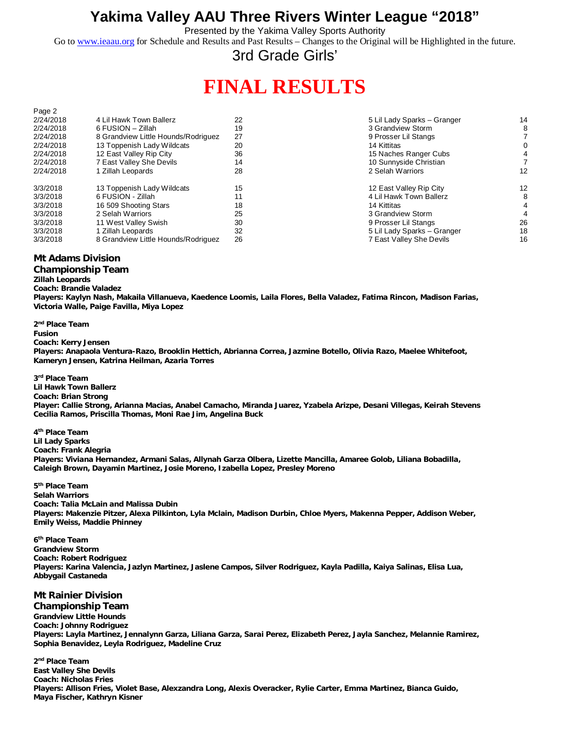### **Yakima Valley AAU Three Rivers Winter League "2018"**

Presented by the Yakima Valley Sports Authority

Go to [www.ieaau.org](http://www.ieaau.org) for Schedule and Results and Past Results – Changes to the Original will be Highlighted in the future.

### 3rd Grade Girls'

## **FINAL RESULTS**

| 2/24/2018 | 4 Lil Hawk Town Ballerz             | 22 | 5 Lil Lady Sparks - Granger | 14 |
|-----------|-------------------------------------|----|-----------------------------|----|
| 2/24/2018 | 6 FUSION – Zillah                   | 19 | 3 Grandview Storm           |    |
| 2/24/2018 | 8 Grandview Little Hounds/Rodriguez | 27 | 9 Prosser Lil Stangs        |    |
| 2/24/2018 | 13 Toppenish Lady Wildcats          | 20 | 14 Kittitas                 |    |
| 2/24/2018 | 12 East Valley Rip City             | 36 | 15 Naches Ranger Cubs       |    |
| 2/24/2018 | 7 East Valley She Devils            | 14 | 10 Sunnyside Christian      |    |
| 2/24/2018 | 1 Zillah Leopards                   | 28 | 2 Selah Warriors            | 12 |
| 3/3/2018  | 13 Toppenish Lady Wildcats          | 15 | 12 East Valley Rip City     | 12 |
| 3/3/2018  | 6 FUSION - Zillah                   |    | 4 Lil Hawk Town Ballerz     | 8  |
| 3/3/2018  | 16 509 Shooting Stars               | 18 | 14 Kittitas                 |    |
| 3/3/2018  | 2 Selah Warriors                    | 25 | 3 Grandview Storm           |    |
| 3/3/2018  | 11 West Valley Swish                | 30 | 9 Prosser Lil Stangs        | 26 |
| 3/3/2018  | 1 Zillah Leopards                   | 32 | 5 Lil Lady Sparks - Granger | 18 |
| 3/3/2018  | 8 Grandview Little Hounds/Rodriguez | 26 | 7 East Valley She Devils    | 16 |
|           |                                     |    |                             |    |

#### **Mt Adams Division**

Page 2

**Championship Team**

**Zillah Leopards Coach: Brandie Valadez Players: Kaylyn Nash, Makaila Villanueva, Kaedence Loomis, Laila Flores, Bella Valadez, Fatima Rincon, Madison Farias, Victoria Walle, Paige Favilla, Miya Lopez**

**2 nd Place Team Fusion Coach: Kerry Jensen Players: Anapaola Ventura-Razo, Brooklin Hettich, Abrianna Correa, Jazmine Botello, Olivia Razo, Maelee Whitefoot, Kameryn Jensen, Katrina Heilman, Azaria Torres**

**3 rd Place Team Lil Hawk Town Ballerz Coach: Brian Strong Player: Callie Strong, Arianna Macias, Anabel Camacho, Miranda Juarez, Yzabela Arizpe, Desani Villegas, Keirah Stevens Cecilia Ramos, Priscilla Thomas, Moni Rae Jim, Angelina Buck**

**4 th Place Team Lil Lady Sparks Coach: Frank Alegria Players: Viviana Hernandez, Armani Salas, Allynah Garza Olbera, Lizette Mancilla, Amaree Golob, Liliana Bobadilla, Caleigh Brown, Dayamin Martinez, Josie Moreno, Izabella Lopez, Presley Moreno**

**5 th Place Team Selah Warriors Coach: Talia McLain and Malissa Dubin Players: Makenzie Pitzer, Alexa Pilkinton, Lyla Mclain, Madison Durbin, Chloe Myers, Makenna Pepper, Addison Weber, Emily Weiss, Maddie Phinney**

**6 th Place Team Grandview Storm Coach: Robert Rodriguez Players: Karina Valencia, Jazlyn Martinez, Jaslene Campos, Silver Rodriguez, Kayla Padilla, Kaiya Salinas, Elisa Lua, Abbygail Castaneda**

### **Mt Rainier Division**

**Championship Team Grandview Little Hounds Coach: Johnny Rodriguez Players: Layla Martinez, Jennalynn Garza, Liliana Garza, Sarai Perez, Elizabeth Perez, Jayla Sanchez, Melannie Ramirez, Sophia Benavidez, Leyla Rodriguez, Madeline Cruz**

**2 nd Place Team East Valley She Devils Coach: Nicholas Fries Players: Allison Fries, Violet Base, Alexzandra Long, Alexis Overacker, Rylie Carter, Emma Martinez, Bianca Guido, Maya Fischer, Kathryn Kisner**